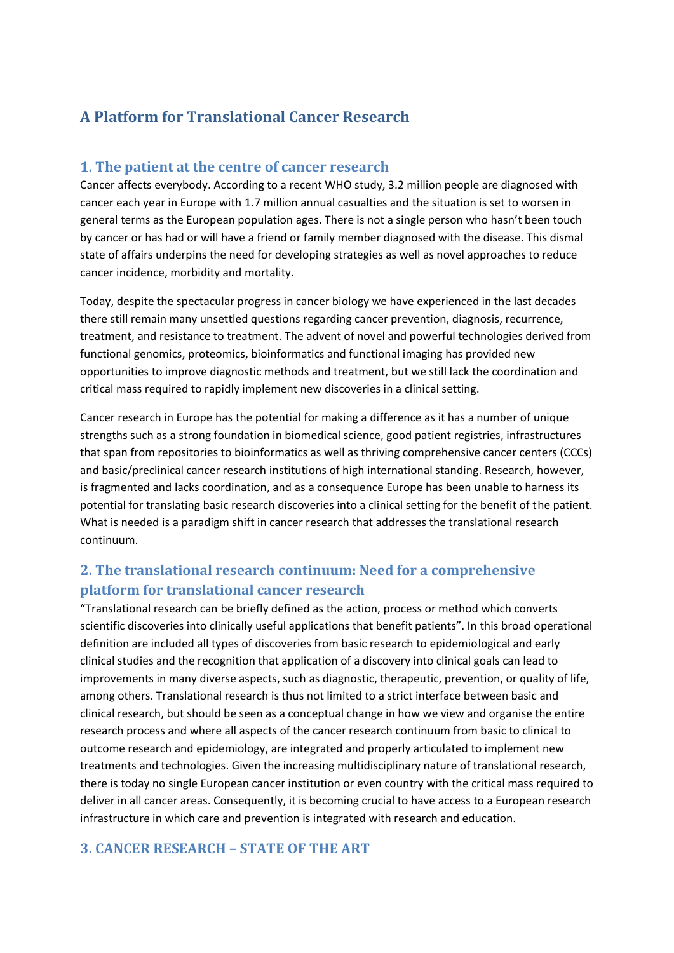## **A Platform for Translational Cancer Research**

## **1. The patient at the centre of cancer research**

Cancer affects everybody. According to a recent WHO study, 3.2 million people are diagnosed with cancer each year in Europe with 1.7 million annual casualties and the situation is set to worsen in general terms as the European population ages. There is not a single person who hasn't been touch by cancer or has had or will have a friend or family member diagnosed with the disease. This dismal state of affairs underpins the need for developing strategies as well as novel approaches to reduce cancer incidence, morbidity and mortality.

Today, despite the spectacular progress in cancer biology we have experienced in the last decades there still remain many unsettled questions regarding cancer prevention, diagnosis, recurrence, treatment, and resistance to treatment. The advent of novel and powerful technologies derived from functional genomics, proteomics, bioinformatics and functional imaging has provided new opportunities to improve diagnostic methods and treatment, but we still lack the coordination and critical mass required to rapidly implement new discoveries in a clinical setting.

Cancer research in Europe has the potential for making a difference as it has a number of unique strengths such as a strong foundation in biomedical science, good patient registries, infrastructures that span from repositories to bioinformatics as well as thriving comprehensive cancer centers (CCCs) and basic/preclinical cancer research institutions of high international standing. Research, however, is fragmented and lacks coordination, and as a consequence Europe has been unable to harness its potential for translating basic research discoveries into a clinical setting for the benefit of the patient. What is needed is a paradigm shift in cancer research that addresses the translational research continuum.

## **2. The translational research continuum: Need for a comprehensive platform for translational cancer research**

"Translational research can be briefly defined as the action, process or method which converts scientific discoveries into clinically useful applications that benefit patients". In this broad operational definition are included all types of discoveries from basic research to epidemiological and early clinical studies and the recognition that application of a discovery into clinical goals can lead to improvements in many diverse aspects, such as diagnostic, therapeutic, prevention, or quality of life, among others. Translational research is thus not limited to a strict interface between basic and clinical research, but should be seen as a conceptual change in how we view and organise the entire research process and where all aspects of the cancer research continuum from basic to clinical to outcome research and epidemiology, are integrated and properly articulated to implement new treatments and technologies. Given the increasing multidisciplinary nature of translational research, there is today no single European cancer institution or even country with the critical mass required to deliver in all cancer areas. Consequently, it is becoming crucial to have access to a European research infrastructure in which care and prevention is integrated with research and education.

## **3. CANCER RESEARCH – STATE OF THE ART**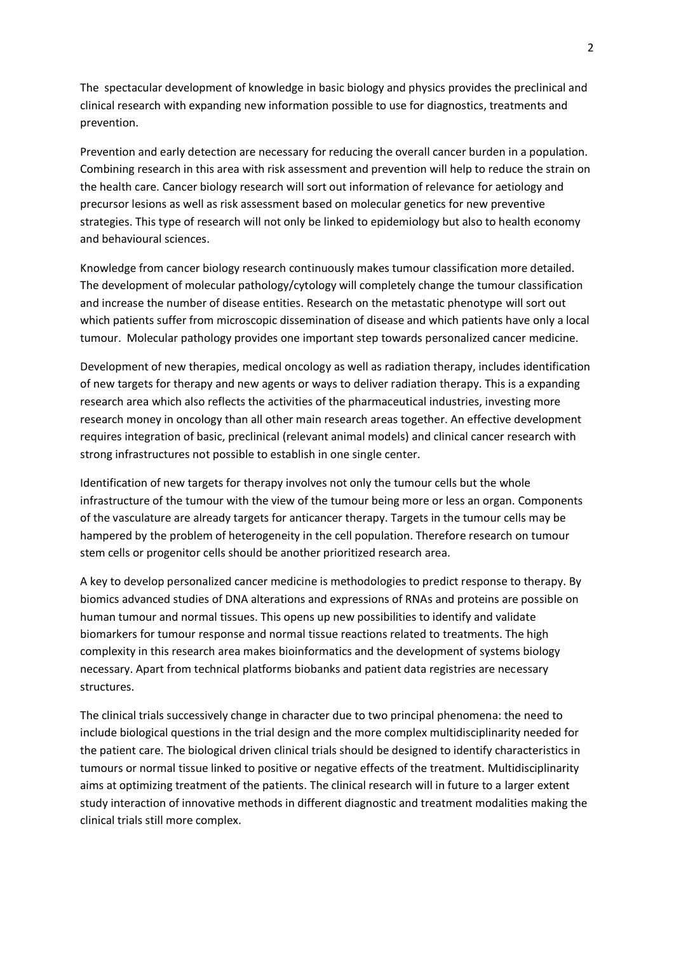The spectacular development of knowledge in basic biology and physics provides the preclinical and clinical research with expanding new information possible to use for diagnostics, treatments and prevention.

Prevention and early detection are necessary for reducing the overall cancer burden in a population. Combining research in this area with risk assessment and prevention will help to reduce the strain on the health care. Cancer biology research will sort out information of relevance for aetiology and precursor lesions as well as risk assessment based on molecular genetics for new preventive strategies. This type of research will not only be linked to epidemiology but also to health economy and behavioural sciences.

Knowledge from cancer biology research continuously makes tumour classification more detailed. The development of molecular pathology/cytology will completely change the tumour classification and increase the number of disease entities. Research on the metastatic phenotype will sort out which patients suffer from microscopic dissemination of disease and which patients have only a local tumour. Molecular pathology provides one important step towards personalized cancer medicine.

Development of new therapies, medical oncology as well as radiation therapy, includes identification of new targets for therapy and new agents or ways to deliver radiation therapy. This is a expanding research area which also reflects the activities of the pharmaceutical industries, investing more research money in oncology than all other main research areas together. An effective development requires integration of basic, preclinical (relevant animal models) and clinical cancer research with strong infrastructures not possible to establish in one single center.

Identification of new targets for therapy involves not only the tumour cells but the whole infrastructure of the tumour with the view of the tumour being more or less an organ. Components of the vasculature are already targets for anticancer therapy. Targets in the tumour cells may be hampered by the problem of heterogeneity in the cell population. Therefore research on tumour stem cells or progenitor cells should be another prioritized research area.

A key to develop personalized cancer medicine is methodologies to predict response to therapy. By biomics advanced studies of DNA alterations and expressions of RNAs and proteins are possible on human tumour and normal tissues. This opens up new possibilities to identify and validate biomarkers for tumour response and normal tissue reactions related to treatments. The high complexity in this research area makes bioinformatics and the development of systems biology necessary. Apart from technical platforms biobanks and patient data registries are necessary structures.

The clinical trials successively change in character due to two principal phenomena: the need to include biological questions in the trial design and the more complex multidisciplinarity needed for the patient care. The biological driven clinical trials should be designed to identify characteristics in tumours or normal tissue linked to positive or negative effects of the treatment. Multidisciplinarity aims at optimizing treatment of the patients. The clinical research will in future to a larger extent study interaction of innovative methods in different diagnostic and treatment modalities making the clinical trials still more complex.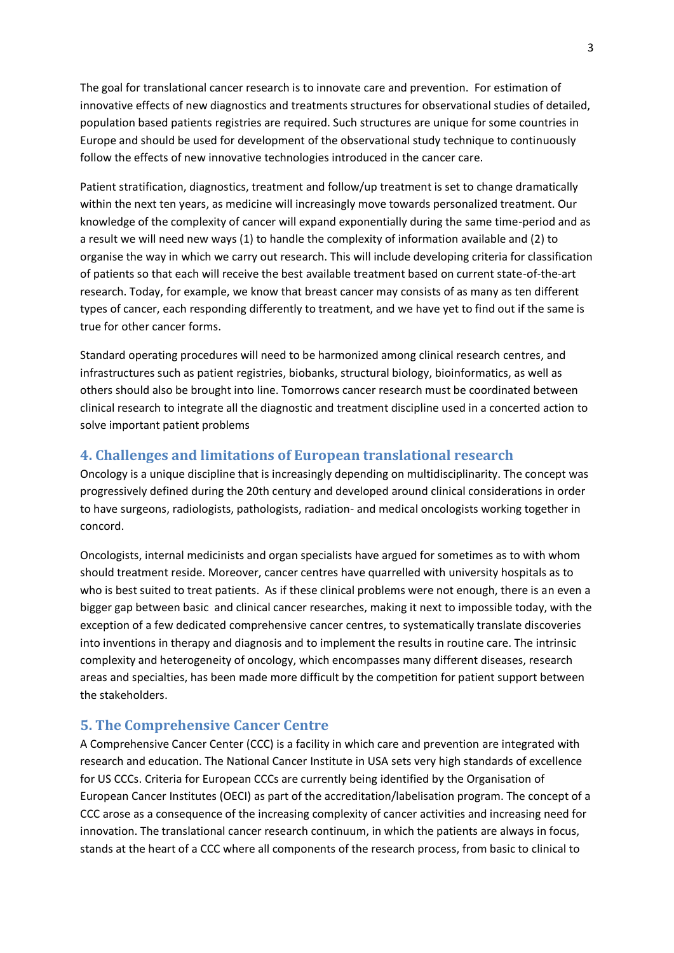The goal for translational cancer research is to innovate care and prevention. For estimation of innovative effects of new diagnostics and treatments structures for observational studies of detailed, population based patients registries are required. Such structures are unique for some countries in Europe and should be used for development of the observational study technique to continuously follow the effects of new innovative technologies introduced in the cancer care.

Patient stratification, diagnostics, treatment and follow/up treatment is set to change dramatically within the next ten years, as medicine will increasingly move towards personalized treatment. Our knowledge of the complexity of cancer will expand exponentially during the same time-period and as a result we will need new ways (1) to handle the complexity of information available and (2) to organise the way in which we carry out research. This will include developing criteria for classification of patients so that each will receive the best available treatment based on current state-of-the-art research. Today, for example, we know that breast cancer may consists of as many as ten different types of cancer, each responding differently to treatment, and we have yet to find out if the same is true for other cancer forms.

Standard operating procedures will need to be harmonized among clinical research centres, and infrastructures such as patient registries, biobanks, structural biology, bioinformatics, as well as others should also be brought into line. Tomorrows cancer research must be coordinated between clinical research to integrate all the diagnostic and treatment discipline used in a concerted action to solve important patient problems

## **4. Challenges and limitations of European translational research**

Oncology is a unique discipline that is increasingly depending on multidisciplinarity. The concept was progressively defined during the 20th century and developed around clinical considerations in order to have surgeons, radiologists, pathologists, radiation- and medical oncologists working together in concord.

Oncologists, internal medicinists and organ specialists have argued for sometimes as to with whom should treatment reside. Moreover, cancer centres have quarrelled with university hospitals as to who is best suited to treat patients. As if these clinical problems were not enough, there is an even a bigger gap between basic and clinical cancer researches, making it next to impossible today, with the exception of a few dedicated comprehensive cancer centres, to systematically translate discoveries into inventions in therapy and diagnosis and to implement the results in routine care. The intrinsic complexity and heterogeneity of oncology, which encompasses many different diseases, research areas and specialties, has been made more difficult by the competition for patient support between the stakeholders.

## **5. The Comprehensive Cancer Centre**

A Comprehensive Cancer Center (CCC) is a facility in which care and prevention are integrated with research and education. The National Cancer Institute in USA sets very high standards of excellence for US CCCs. Criteria for European CCCs are currently being identified by the Organisation of European Cancer Institutes (OECI) as part of the accreditation/labelisation program. The concept of a CCC arose as a consequence of the increasing complexity of cancer activities and increasing need for innovation. The translational cancer research continuum, in which the patients are always in focus, stands at the heart of a CCC where all components of the research process, from basic to clinical to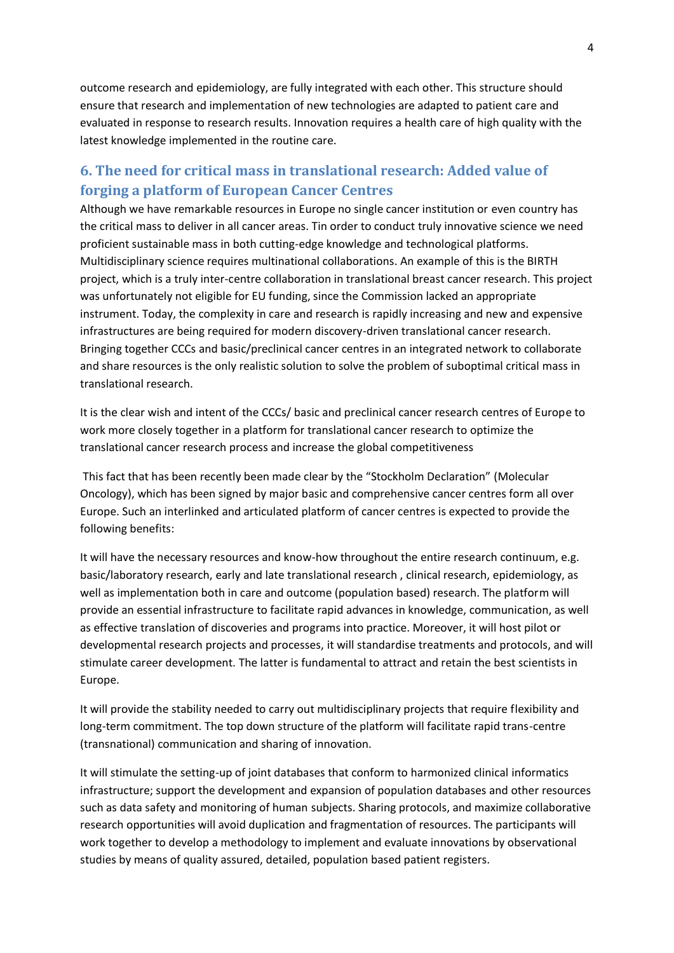outcome research and epidemiology, are fully integrated with each other. This structure should ensure that research and implementation of new technologies are adapted to patient care and evaluated in response to research results. Innovation requires a health care of high quality with the latest knowledge implemented in the routine care.

## **6. The need for critical mass in translational research: Added value of forging a platform of European Cancer Centres**

Although we have remarkable resources in Europe no single cancer institution or even country has the critical mass to deliver in all cancer areas. Tin order to conduct truly innovative science we need proficient sustainable mass in both cutting-edge knowledge and technological platforms. Multidisciplinary science requires multinational collaborations. An example of this is the BIRTH project, which is a truly inter-centre collaboration in translational breast cancer research. This project was unfortunately not eligible for EU funding, since the Commission lacked an appropriate instrument. Today, the complexity in care and research is rapidly increasing and new and expensive infrastructures are being required for modern discovery-driven translational cancer research. Bringing together CCCs and basic/preclinical cancer centres in an integrated network to collaborate and share resources is the only realistic solution to solve the problem of suboptimal critical mass in translational research.

It is the clear wish and intent of the CCCs/ basic and preclinical cancer research centres of Europe to work more closely together in a platform for translational cancer research to optimize the translational cancer research process and increase the global competitiveness

This fact that has been recently been made clear by the "Stockholm Declaration" (Molecular Oncology), which has been signed by major basic and comprehensive cancer centres form all over Europe. Such an interlinked and articulated platform of cancer centres is expected to provide the following benefits:

It will have the necessary resources and know-how throughout the entire research continuum, e.g. basic/laboratory research, early and late translational research , clinical research, epidemiology, as well as implementation both in care and outcome (population based) research. The platform will provide an essential infrastructure to facilitate rapid advances in knowledge, communication, as well as effective translation of discoveries and programs into practice. Moreover, it will host pilot or developmental research projects and processes, it will standardise treatments and protocols, and will stimulate career development. The latter is fundamental to attract and retain the best scientists in Europe.

It will provide the stability needed to carry out multidisciplinary projects that require flexibility and long-term commitment. The top down structure of the platform will facilitate rapid trans-centre (transnational) communication and sharing of innovation.

It will stimulate the setting-up of joint databases that conform to harmonized clinical informatics infrastructure; support the development and expansion of population databases and other resources such as data safety and monitoring of human subjects. Sharing protocols, and maximize collaborative research opportunities will avoid duplication and fragmentation of resources. The participants will work together to develop a methodology to implement and evaluate innovations by observational studies by means of quality assured, detailed, population based patient registers.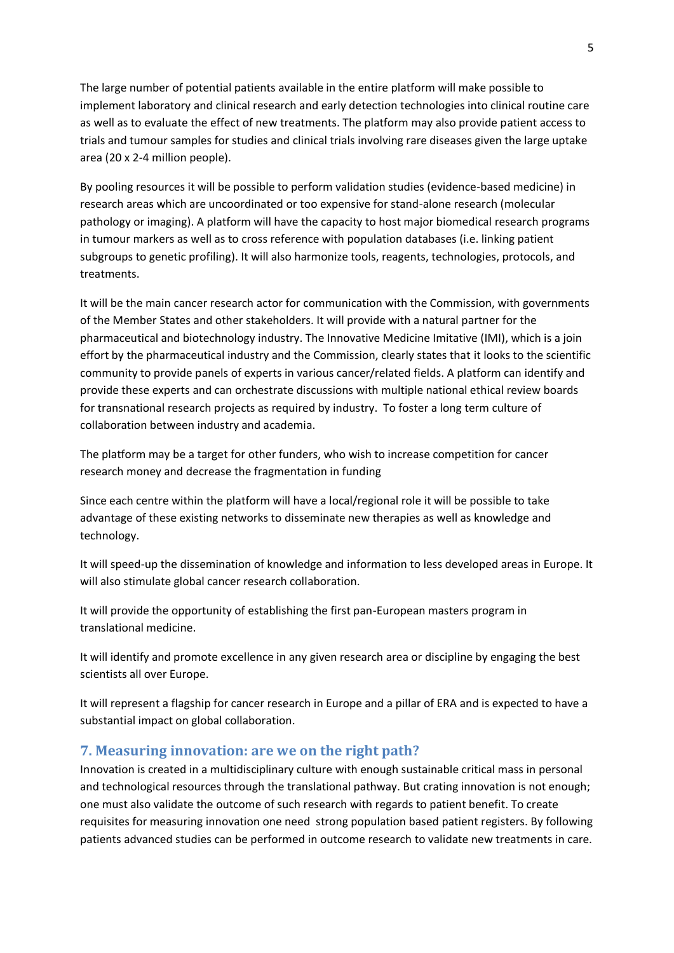The large number of potential patients available in the entire platform will make possible to implement laboratory and clinical research and early detection technologies into clinical routine care as well as to evaluate the effect of new treatments. The platform may also provide patient access to trials and tumour samples for studies and clinical trials involving rare diseases given the large uptake area (20 x 2-4 million people).

By pooling resources it will be possible to perform validation studies (evidence-based medicine) in research areas which are uncoordinated or too expensive for stand-alone research (molecular pathology or imaging). A platform will have the capacity to host major biomedical research programs in tumour markers as well as to cross reference with population databases (i.e. linking patient subgroups to genetic profiling). It will also harmonize tools, reagents, technologies, protocols, and treatments.

It will be the main cancer research actor for communication with the Commission, with governments of the Member States and other stakeholders. It will provide with a natural partner for the pharmaceutical and biotechnology industry. The Innovative Medicine Imitative (IMI), which is a join effort by the pharmaceutical industry and the Commission, clearly states that it looks to the scientific community to provide panels of experts in various cancer/related fields. A platform can identify and provide these experts and can orchestrate discussions with multiple national ethical review boards for transnational research projects as required by industry. To foster a long term culture of collaboration between industry and academia.

The platform may be a target for other funders, who wish to increase competition for cancer research money and decrease the fragmentation in funding

Since each centre within the platform will have a local/regional role it will be possible to take advantage of these existing networks to disseminate new therapies as well as knowledge and technology.

It will speed-up the dissemination of knowledge and information to less developed areas in Europe. It will also stimulate global cancer research collaboration.

It will provide the opportunity of establishing the first pan-European masters program in translational medicine.

It will identify and promote excellence in any given research area or discipline by engaging the best scientists all over Europe.

It will represent a flagship for cancer research in Europe and a pillar of ERA and is expected to have a substantial impact on global collaboration.

## **7. Measuring innovation: are we on the right path?**

Innovation is created in a multidisciplinary culture with enough sustainable critical mass in personal and technological resources through the translational pathway. But crating innovation is not enough; one must also validate the outcome of such research with regards to patient benefit. To create requisites for measuring innovation one need strong population based patient registers. By following patients advanced studies can be performed in outcome research to validate new treatments in care.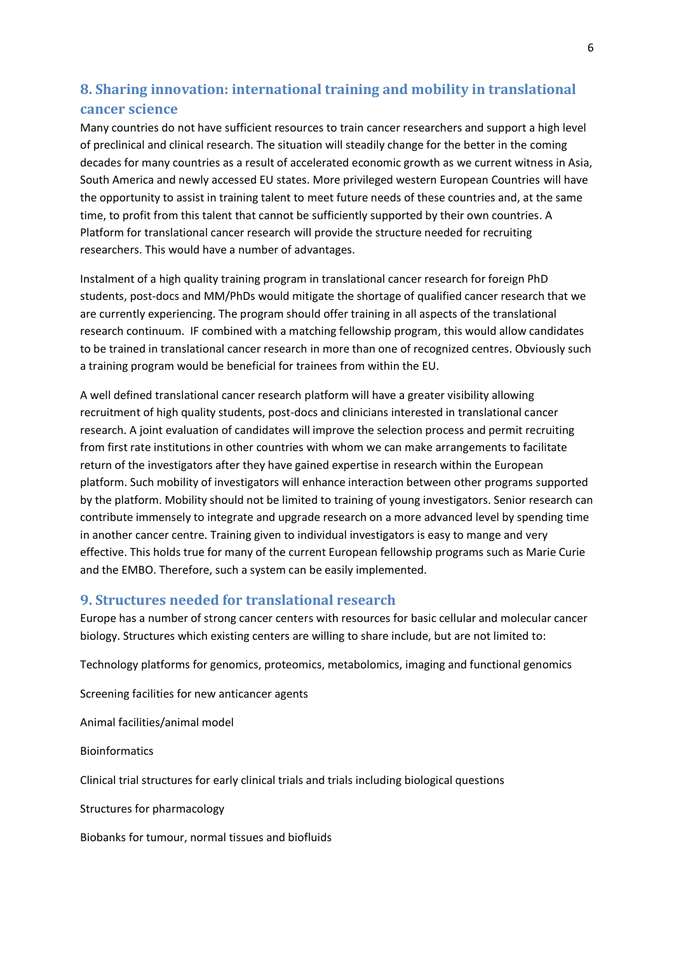## **8. Sharing innovation: international training and mobility in translational cancer science**

Many countries do not have sufficient resources to train cancer researchers and support a high level of preclinical and clinical research. The situation will steadily change for the better in the coming decades for many countries as a result of accelerated economic growth as we current witness in Asia, South America and newly accessed EU states. More privileged western European Countries will have the opportunity to assist in training talent to meet future needs of these countries and, at the same time, to profit from this talent that cannot be sufficiently supported by their own countries. A Platform for translational cancer research will provide the structure needed for recruiting researchers. This would have a number of advantages.

Instalment of a high quality training program in translational cancer research for foreign PhD students, post-docs and MM/PhDs would mitigate the shortage of qualified cancer research that we are currently experiencing. The program should offer training in all aspects of the translational research continuum. IF combined with a matching fellowship program, this would allow candidates to be trained in translational cancer research in more than one of recognized centres. Obviously such a training program would be beneficial for trainees from within the EU.

A well defined translational cancer research platform will have a greater visibility allowing recruitment of high quality students, post-docs and clinicians interested in translational cancer research. A joint evaluation of candidates will improve the selection process and permit recruiting from first rate institutions in other countries with whom we can make arrangements to facilitate return of the investigators after they have gained expertise in research within the European platform. Such mobility of investigators will enhance interaction between other programs supported by the platform. Mobility should not be limited to training of young investigators. Senior research can contribute immensely to integrate and upgrade research on a more advanced level by spending time in another cancer centre. Training given to individual investigators is easy to mange and very effective. This holds true for many of the current European fellowship programs such as Marie Curie and the EMBO. Therefore, such a system can be easily implemented.

## **9. Structures needed for translational research**

Europe has a number of strong cancer centers with resources for basic cellular and molecular cancer biology. Structures which existing centers are willing to share include, but are not limited to:

Technology platforms for genomics, proteomics, metabolomics, imaging and functional genomics

Screening facilities for new anticancer agents

Animal facilities/animal model

**Bioinformatics** 

Clinical trial structures for early clinical trials and trials including biological questions

Structures for pharmacology

Biobanks for tumour, normal tissues and biofluids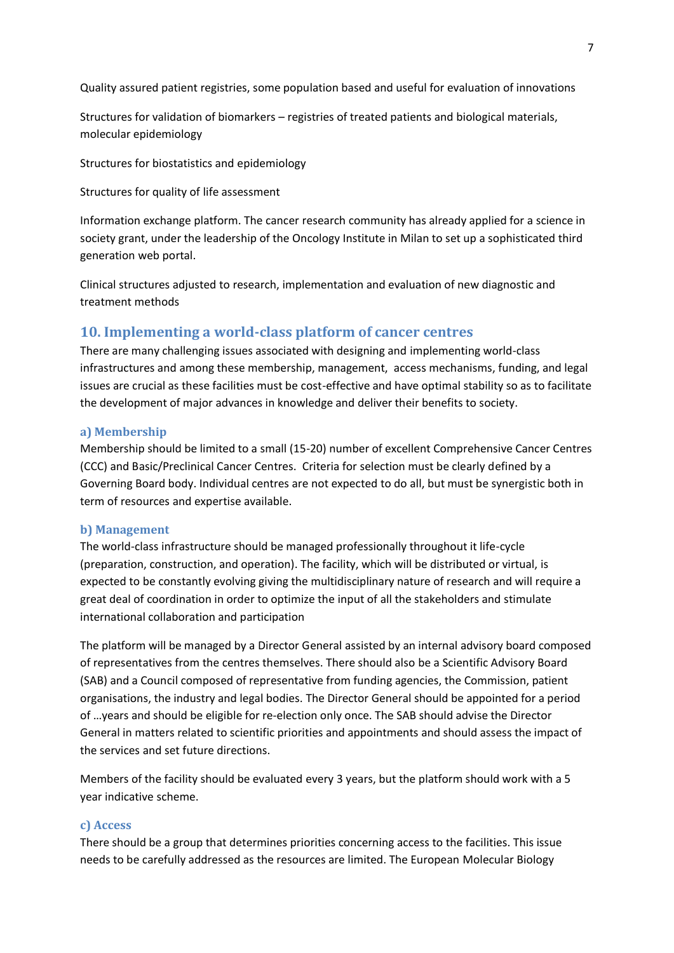Quality assured patient registries, some population based and useful for evaluation of innovations

Structures for validation of biomarkers – registries of treated patients and biological materials, molecular epidemiology

Structures for biostatistics and epidemiology

Structures for quality of life assessment

Information exchange platform. The cancer research community has already applied for a science in society grant, under the leadership of the Oncology Institute in Milan to set up a sophisticated third generation web portal.

Clinical structures adjusted to research, implementation and evaluation of new diagnostic and treatment methods

## **10. Implementing a world-class platform of cancer centres**

There are many challenging issues associated with designing and implementing world-class infrastructures and among these membership, management, access mechanisms, funding, and legal issues are crucial as these facilities must be cost-effective and have optimal stability so as to facilitate the development of major advances in knowledge and deliver their benefits to society.

#### **a) Membership**

Membership should be limited to a small (15-20) number of excellent Comprehensive Cancer Centres (CCC) and Basic/Preclinical Cancer Centres. Criteria for selection must be clearly defined by a Governing Board body. Individual centres are not expected to do all, but must be synergistic both in term of resources and expertise available.

#### **b) Management**

The world-class infrastructure should be managed professionally throughout it life-cycle (preparation, construction, and operation). The facility, which will be distributed or virtual, is expected to be constantly evolving giving the multidisciplinary nature of research and will require a great deal of coordination in order to optimize the input of all the stakeholders and stimulate international collaboration and participation

The platform will be managed by a Director General assisted by an internal advisory board composed of representatives from the centres themselves. There should also be a Scientific Advisory Board (SAB) and a Council composed of representative from funding agencies, the Commission, patient organisations, the industry and legal bodies. The Director General should be appointed for a period of …years and should be eligible for re-election only once. The SAB should advise the Director General in matters related to scientific priorities and appointments and should assess the impact of the services and set future directions.

Members of the facility should be evaluated every 3 years, but the platform should work with a 5 year indicative scheme.

#### **c) Access**

There should be a group that determines priorities concerning access to the facilities. This issue needs to be carefully addressed as the resources are limited. The European Molecular Biology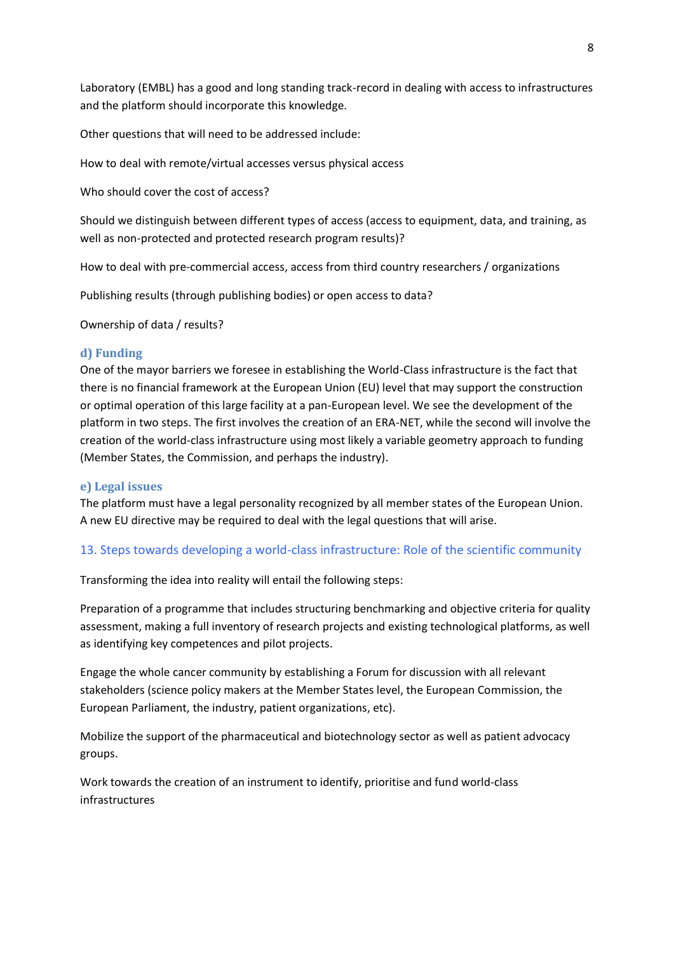Laboratory (EMBL) has a good and long standing track-record in dealing with access to infrastructures and the platform should incorporate this knowledge.

Other questions that will need to be addressed include:

How to deal with remote/virtual accesses versus physical access

Who should cover the cost of access?

Should we distinguish between different types of access (access to equipment, data, and training, as well as non-protected and protected research program results)?

How to deal with pre-commercial access, access from third country researchers / organizations

Publishing results (through publishing bodies) or open access to data?

Ownership of data / results?

### **d) Funding**

One of the mayor barriers we foresee in establishing the World-Class infrastructure is the fact that there is no financial framework at the European Union (EU) level that may support the construction or optimal operation of this large facility at a pan-European level. We see the development of the platform in two steps. The first involves the creation of an ERA-NET, while the second will involve the creation of the world-class infrastructure using most likely a variable geometry approach to funding (Member States, the Commission, and perhaps the industry).

#### **e) Legal issues**

The platform must have a legal personality recognized by all member states of the European Union. A new EU directive may be required to deal with the legal questions that will arise.

## 13. Steps towards developing a world-class infrastructure: Role of the scientific community

Transforming the idea into reality will entail the following steps:

Preparation of a programme that includes structuring benchmarking and objective criteria for quality assessment, making a full inventory of research projects and existing technological platforms, as well as identifying key competences and pilot projects.

Engage the whole cancer community by establishing a Forum for discussion with all relevant stakeholders (science policy makers at the Member States level, the European Commission, the European Parliament, the industry, patient organizations, etc).

Mobilize the support of the pharmaceutical and biotechnology sector as well as patient advocacy groups.

Work towards the creation of an instrument to identify, prioritise and fund world-class infrastructures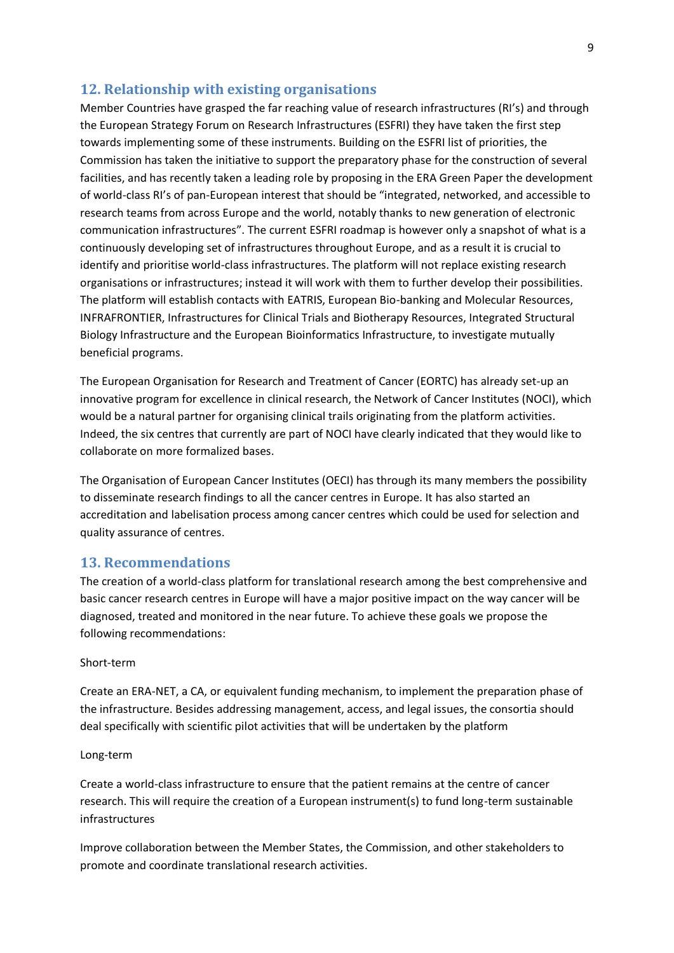### **12. Relationship with existing organisations**

Member Countries have grasped the far reaching value of research infrastructures (RI's) and through the European Strategy Forum on Research Infrastructures (ESFRI) they have taken the first step towards implementing some of these instruments. Building on the ESFRI list of priorities, the Commission has taken the initiative to support the preparatory phase for the construction of several facilities, and has recently taken a leading role by proposing in the ERA Green Paper the development of world-class RI's of pan-European interest that should be "integrated, networked, and accessible to research teams from across Europe and the world, notably thanks to new generation of electronic communication infrastructures". The current ESFRI roadmap is however only a snapshot of what is a continuously developing set of infrastructures throughout Europe, and as a result it is crucial to identify and prioritise world-class infrastructures. The platform will not replace existing research organisations or infrastructures; instead it will work with them to further develop their possibilities. The platform will establish contacts with EATRIS, European Bio-banking and Molecular Resources, INFRAFRONTIER, Infrastructures for Clinical Trials and Biotherapy Resources, Integrated Structural Biology Infrastructure and the European Bioinformatics Infrastructure, to investigate mutually beneficial programs.

The European Organisation for Research and Treatment of Cancer (EORTC) has already set-up an innovative program for excellence in clinical research, the Network of Cancer Institutes (NOCI), which would be a natural partner for organising clinical trails originating from the platform activities. Indeed, the six centres that currently are part of NOCI have clearly indicated that they would like to collaborate on more formalized bases.

The Organisation of European Cancer Institutes (OECI) has through its many members the possibility to disseminate research findings to all the cancer centres in Europe. It has also started an accreditation and labelisation process among cancer centres which could be used for selection and quality assurance of centres.

## **13. Recommendations**

The creation of a world-class platform for translational research among the best comprehensive and basic cancer research centres in Europe will have a major positive impact on the way cancer will be diagnosed, treated and monitored in the near future. To achieve these goals we propose the following recommendations:

#### Short-term

Create an ERA-NET, a CA, or equivalent funding mechanism, to implement the preparation phase of the infrastructure. Besides addressing management, access, and legal issues, the consortia should deal specifically with scientific pilot activities that will be undertaken by the platform

#### Long-term

Create a world-class infrastructure to ensure that the patient remains at the centre of cancer research. This will require the creation of a European instrument(s) to fund long-term sustainable infrastructures

Improve collaboration between the Member States, the Commission, and other stakeholders to promote and coordinate translational research activities.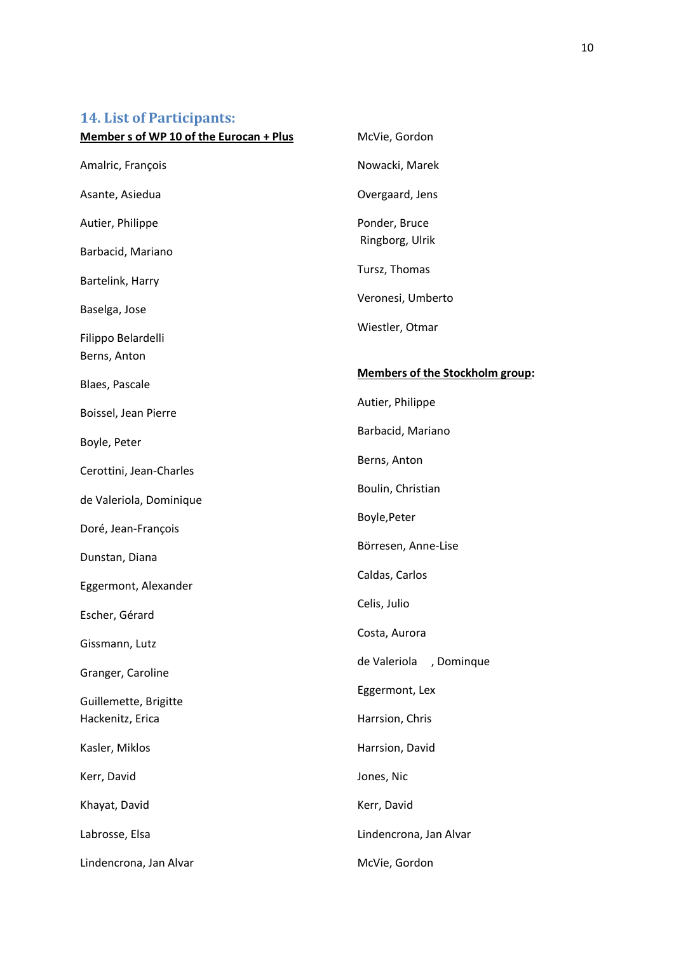# **14. List of Participants:**

| Member s of WP 10 of the Eurocan + Plus   | McVie, Gordon                          |
|-------------------------------------------|----------------------------------------|
| Amalric, François                         | Nowacki, Marek                         |
| Asante, Asiedua                           | Overgaard, Jens                        |
| Autier, Philippe                          | Ponder, Bruce                          |
| Barbacid, Mariano                         | Ringborg, Ulrik                        |
| Bartelink, Harry                          | Tursz, Thomas                          |
| Baselga, Jose                             | Veronesi, Umberto                      |
| Filippo Belardelli<br>Berns, Anton        | Wiestler, Otmar                        |
| Blaes, Pascale                            | <b>Members of the Stockholm group:</b> |
| Boissel, Jean Pierre                      | Autier, Philippe                       |
| Boyle, Peter                              | Barbacid, Mariano                      |
| Cerottini, Jean-Charles                   | Berns, Anton                           |
| de Valeriola, Dominique                   | Boulin, Christian                      |
| Doré, Jean-François                       | Boyle, Peter                           |
| Dunstan, Diana                            | Börresen, Anne-Lise                    |
|                                           | Caldas, Carlos                         |
| Eggermont, Alexander                      | Celis, Julio                           |
| Escher, Gérard                            | Costa, Aurora                          |
| Gissmann, Lutz                            | de Valeriola<br>, Dominque             |
| Granger, Caroline                         | Eggermont, Lex                         |
| Guillemette, Brigitte<br>Hackenitz, Erica |                                        |
|                                           | Harrsion, Chris                        |
| Kasler, Miklos                            | Harrsion, David                        |
| Kerr, David                               | Jones, Nic                             |
| Khayat, David                             | Kerr, David                            |
| Labrosse, Elsa                            | Lindencrona, Jan Alvar                 |
| Lindencrona, Jan Alvar                    | McVie, Gordon                          |